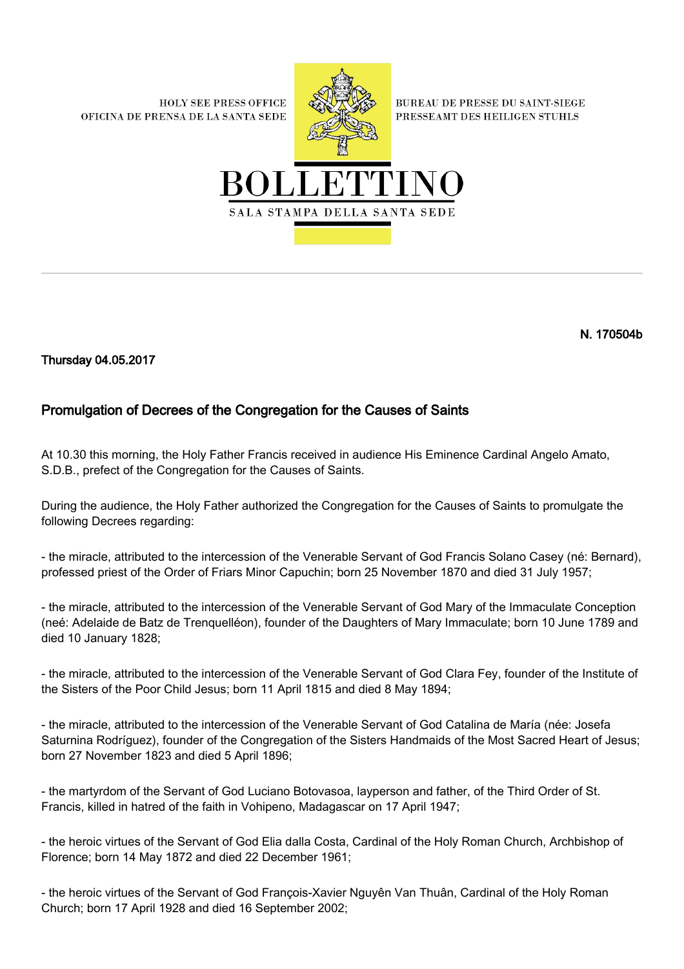**HOLY SEE PRESS OFFICE** OFICINA DE PRENSA DE LA SANTA SEDE



**BUREAU DE PRESSE DU SAINT-SIEGE** PRESSEAMT DES HEILIGEN STUHLS



N. 170504b

Thursday 04.05.2017

## Promulgation of Decrees of the Congregation for the Causes of Saints

At 10.30 this morning, the Holy Father Francis received in audience His Eminence Cardinal Angelo Amato, S.D.B., prefect of the Congregation for the Causes of Saints.

During the audience, the Holy Father authorized the Congregation for the Causes of Saints to promulgate the following Decrees regarding:

- the miracle, attributed to the intercession of the Venerable Servant of God Francis Solano Casey (né: Bernard), professed priest of the Order of Friars Minor Capuchin; born 25 November 1870 and died 31 July 1957;

- the miracle, attributed to the intercession of the Venerable Servant of God Mary of the Immaculate Conception (neé: Adelaide de Batz de Trenquelléon), founder of the Daughters of Mary Immaculate; born 10 June 1789 and died 10 January 1828;

- the miracle, attributed to the intercession of the Venerable Servant of God Clara Fey, founder of the Institute of the Sisters of the Poor Child Jesus; born 11 April 1815 and died 8 May 1894;

- the miracle, attributed to the intercession of the Venerable Servant of God Catalina de María (née: Josefa Saturnina Rodríguez), founder of the Congregation of the Sisters Handmaids of the Most Sacred Heart of Jesus; born 27 November 1823 and died 5 April 1896;

- the martyrdom of the Servant of God Luciano Botovasoa, layperson and father, of the Third Order of St. Francis, killed in hatred of the faith in Vohipeno, Madagascar on 17 April 1947;

- the heroic virtues of the Servant of God Elia dalla Costa, Cardinal of the Holy Roman Church, Archbishop of Florence; born 14 May 1872 and died 22 December 1961;

- the heroic virtues of the Servant of God François-Xavier Nguyên Van Thuân, Cardinal of the Holy Roman Church; born 17 April 1928 and died 16 September 2002;